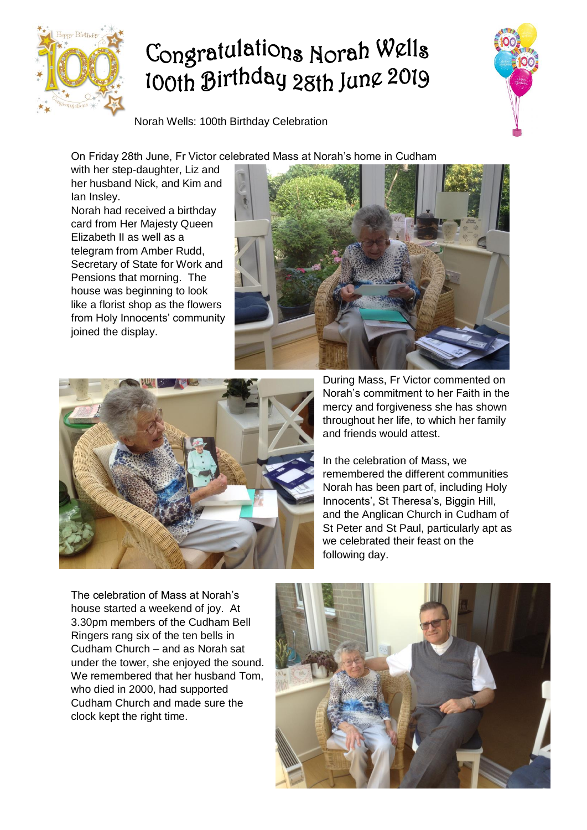

## Congratulations Norah Wells looth Birthday 28th June 2019

Norah Wells: 100th Birthday Celebration

On Friday 28th June, Fr Victor celebrated Mass at Norah's home in Cudham

with her step-daughter, Liz and her husband Nick, and Kim and Ian Insley.

Norah had received a birthday card from Her Majesty Queen Elizabeth II as well as a telegram from Amber Rudd, Secretary of State for Work and Pensions that morning. The house was beginning to look like a florist shop as the flowers from Holy Innocents' community joined the display.





During Mass, Fr Victor commented on Norah's commitment to her Faith in the mercy and forgiveness she has shown throughout her life, to which her family and friends would attest.

In the celebration of Mass, we remembered the different communities Norah has been part of, including Holy Innocents', St Theresa's, Biggin Hill, and the Anglican Church in Cudham of St Peter and St Paul, particularly apt as we celebrated their feast on the following day.

The celebration of Mass at Norah's house started a weekend of joy. At 3.30pm members of the Cudham Bell Ringers rang six of the ten bells in Cudham Church – and as Norah sat under the tower, she enjoyed the sound. We remembered that her husband Tom, who died in 2000, had supported Cudham Church and made sure the clock kept the right time.

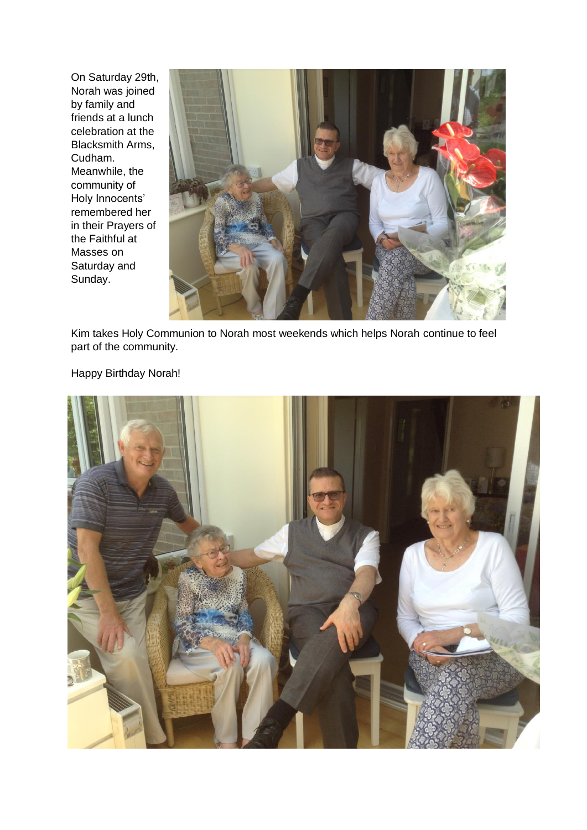On Saturday 29th, Norah was joined by family and friends at a lunch celebration at the Blacksmith Arms, Cudham. Meanwhile, the community of Holy Innocents' remembered her in their Prayers of the Faithful at Masses on Saturday and Sunday.



Kim takes Holy Communion to Norah most weekends which helps Norah continue to feel part of the community.

Happy Birthday Norah!